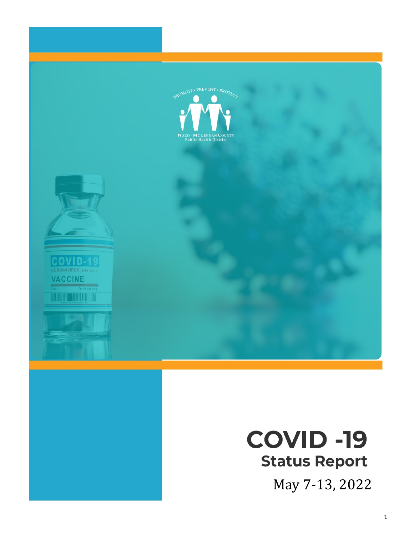

# **COVID -19 Status Report**

May 7-13, 2022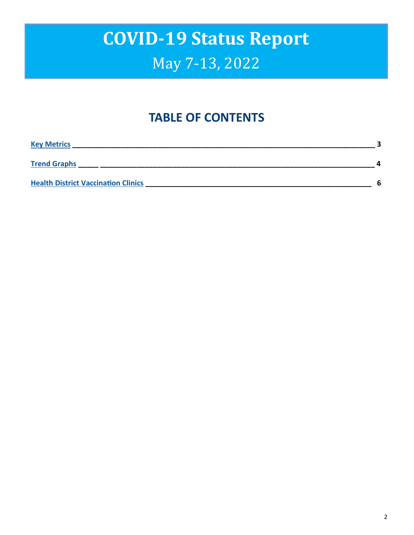### **TABLE OF CONTENTS**

| <b>Key Metrics</b>                         |   |
|--------------------------------------------|---|
| <b>Trend Graphs</b>                        |   |
| <b>Health District Vaccination Clinics</b> | հ |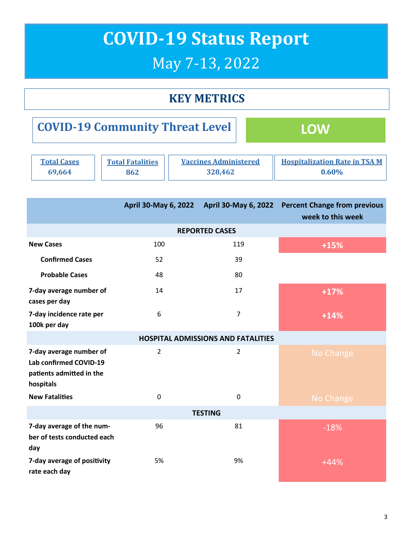### **KEY METRICS**

<span id="page-2-0"></span>

| <b>COVID-19 Community Threat Level</b> |                         |                              | <b>TOW</b>                           |
|----------------------------------------|-------------------------|------------------------------|--------------------------------------|
| <b>Total Cases</b>                     | <b>Total Fatalities</b> | <b>Vaccines Administered</b> | <b>Hospitalization Rate in TSA M</b> |
| 69,664                                 | 862                     | 328,462                      | $0.60\%$                             |

|                                                                                            | April 30-May 6, 2022 |             | April 30-May 6, 2022 Percent Change from previous<br>week to this week |  |  |  |  |  |
|--------------------------------------------------------------------------------------------|----------------------|-------------|------------------------------------------------------------------------|--|--|--|--|--|
| <b>REPORTED CASES</b>                                                                      |                      |             |                                                                        |  |  |  |  |  |
| <b>New Cases</b>                                                                           | 100                  | 119         | $+15%$                                                                 |  |  |  |  |  |
| <b>Confirmed Cases</b>                                                                     | 52                   | 39          |                                                                        |  |  |  |  |  |
| <b>Probable Cases</b>                                                                      | 48                   | 80          |                                                                        |  |  |  |  |  |
| 7-day average number of<br>cases per day                                                   | 14                   | 17          | $+17%$                                                                 |  |  |  |  |  |
| 7-day incidence rate per<br>100k per day                                                   | 6                    | 7           | $+14%$                                                                 |  |  |  |  |  |
| <b>HOSPITAL ADMISSIONS AND FATALITIES</b>                                                  |                      |             |                                                                        |  |  |  |  |  |
| 7-day average number of<br>Lab confirmed COVID-19<br>patients admitted in the<br>hospitals | $\overline{2}$       | 2           | No Change                                                              |  |  |  |  |  |
| <b>New Fatalities</b>                                                                      | $\Omega$             | $\mathbf 0$ | No Change                                                              |  |  |  |  |  |
| <b>TESTING</b>                                                                             |                      |             |                                                                        |  |  |  |  |  |
| 7-day average of the num-<br>ber of tests conducted each<br>day                            | 96                   | 81          | $-18%$                                                                 |  |  |  |  |  |
| 7-day average of positivity<br>rate each day                                               | 5%                   | 9%          | $+44%$                                                                 |  |  |  |  |  |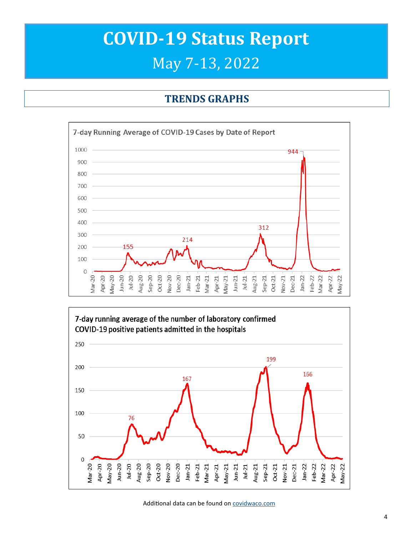#### **TRENDS GRAPHS**

<span id="page-3-0"></span>



Additional data can be found on [covidwaco.com](https://covidwaco.com/county/)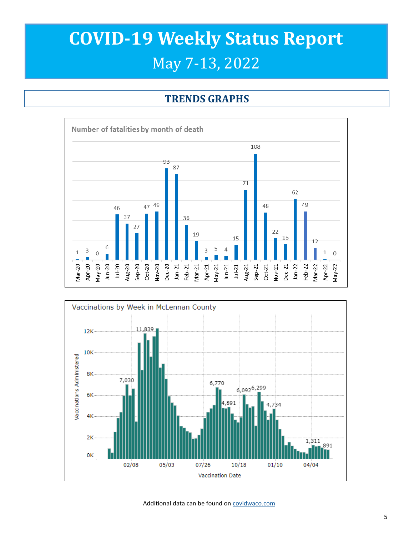## **COVID-19 Weekly Status Report** May 7-13, 2022

### **TRENDS GRAPHS**





Additional data can be found on [covidwaco.com](https://covidwaco.com/county/)